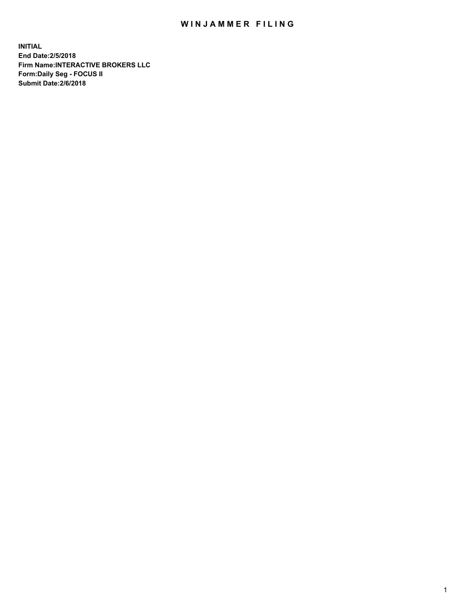## WIN JAMMER FILING

**INITIAL End Date:2/5/2018 Firm Name:INTERACTIVE BROKERS LLC Form:Daily Seg - FOCUS II Submit Date:2/6/2018**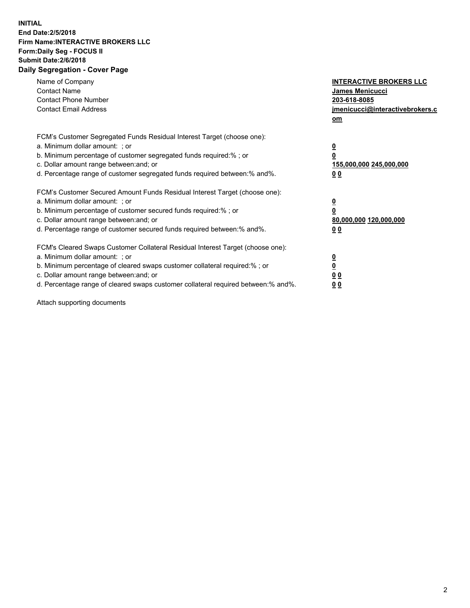## **INITIAL End Date:2/5/2018 Firm Name:INTERACTIVE BROKERS LLC Form:Daily Seg - FOCUS II Submit Date:2/6/2018 Daily Segregation - Cover Page**

| Name of Company<br><b>Contact Name</b><br><b>Contact Phone Number</b><br><b>Contact Email Address</b>                                                                                                                                                                                                                          | <b>INTERACTIVE BROKERS LLC</b><br>James Menicucci<br>203-618-8085<br>jmenicucci@interactivebrokers.c<br>om |
|--------------------------------------------------------------------------------------------------------------------------------------------------------------------------------------------------------------------------------------------------------------------------------------------------------------------------------|------------------------------------------------------------------------------------------------------------|
| FCM's Customer Segregated Funds Residual Interest Target (choose one):<br>a. Minimum dollar amount: ; or<br>b. Minimum percentage of customer segregated funds required:%; or<br>c. Dollar amount range between: and; or<br>d. Percentage range of customer segregated funds required between:% and%.                          | $\overline{\mathbf{0}}$<br>$\overline{\mathbf{0}}$<br>155,000,000 245,000,000<br>00                        |
| FCM's Customer Secured Amount Funds Residual Interest Target (choose one):<br>a. Minimum dollar amount: ; or<br>b. Minimum percentage of customer secured funds required:%; or<br>c. Dollar amount range between: and; or<br>d. Percentage range of customer secured funds required between: % and %.                          | $\overline{\mathbf{0}}$<br>0<br>80,000,000 120,000,000<br>00                                               |
| FCM's Cleared Swaps Customer Collateral Residual Interest Target (choose one):<br>a. Minimum dollar amount: ; or<br>b. Minimum percentage of cleared swaps customer collateral required:% ; or<br>c. Dollar amount range between: and; or<br>d. Percentage range of cleared swaps customer collateral required between:% and%. | $\overline{\mathbf{0}}$<br>$\underline{\mathbf{0}}$<br>0 <sub>0</sub><br>0 <sub>0</sub>                    |

Attach supporting documents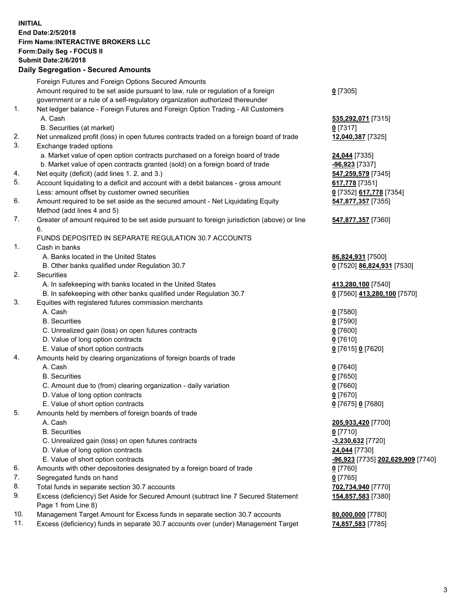## **INITIAL End Date:2/5/2018 Firm Name:INTERACTIVE BROKERS LLC Form:Daily Seg - FOCUS II Submit Date:2/6/2018 Daily Segregation - Secured Amounts**

|     | Foreign Futures and Foreign Options Secured Amounts                                         |                                          |
|-----|---------------------------------------------------------------------------------------------|------------------------------------------|
|     | Amount required to be set aside pursuant to law, rule or regulation of a foreign            | $0$ [7305]                               |
|     | government or a rule of a self-regulatory organization authorized thereunder                |                                          |
| 1.  | Net ledger balance - Foreign Futures and Foreign Option Trading - All Customers             |                                          |
|     | A. Cash                                                                                     | 535,292,071 [7315]                       |
|     | B. Securities (at market)                                                                   | $0$ [7317]                               |
| 2.  | Net unrealized profit (loss) in open futures contracts traded on a foreign board of trade   | 12,040,387 [7325]                        |
| 3.  | Exchange traded options                                                                     |                                          |
|     | a. Market value of open option contracts purchased on a foreign board of trade              | 24,044 [7335]                            |
|     | b. Market value of open contracts granted (sold) on a foreign board of trade                | -96,923 [7337]                           |
| 4.  | Net equity (deficit) (add lines 1.2. and 3.)                                                | 547,259,579 [7345]                       |
| 5.  | Account liquidating to a deficit and account with a debit balances - gross amount           | 617,778 [7351]                           |
|     | Less: amount offset by customer owned securities                                            | 0 [7352] 617,778 [7354]                  |
| 6.  | Amount required to be set aside as the secured amount - Net Liquidating Equity              | 547,877,357 [7355]                       |
|     | Method (add lines 4 and 5)                                                                  |                                          |
| 7.  | Greater of amount required to be set aside pursuant to foreign jurisdiction (above) or line | 547,877,357 [7360]                       |
|     | 6.                                                                                          |                                          |
|     | FUNDS DEPOSITED IN SEPARATE REGULATION 30.7 ACCOUNTS                                        |                                          |
| 1.  | Cash in banks                                                                               |                                          |
|     | A. Banks located in the United States                                                       |                                          |
|     |                                                                                             | 86,824,931 [7500]                        |
| 2.  | B. Other banks qualified under Regulation 30.7                                              | 0 [7520] 86,824,931 [7530]               |
|     | Securities                                                                                  |                                          |
|     | A. In safekeeping with banks located in the United States                                   | 413,280,100 [7540]                       |
|     | B. In safekeeping with other banks qualified under Regulation 30.7                          | 0 [7560] 413,280,100 [7570]              |
| 3.  | Equities with registered futures commission merchants                                       |                                          |
|     | A. Cash                                                                                     | $0$ [7580]                               |
|     | <b>B.</b> Securities                                                                        | $0$ [7590]                               |
|     | C. Unrealized gain (loss) on open futures contracts                                         | $0$ [7600]                               |
|     | D. Value of long option contracts                                                           | $0$ [7610]                               |
|     | E. Value of short option contracts                                                          | 0 [7615] 0 [7620]                        |
| 4.  | Amounts held by clearing organizations of foreign boards of trade                           |                                          |
|     | A. Cash                                                                                     | $0$ [7640]                               |
|     | <b>B.</b> Securities                                                                        | $0$ [7650]                               |
|     | C. Amount due to (from) clearing organization - daily variation                             | $0$ [7660]                               |
|     | D. Value of long option contracts                                                           | $0$ [7670]                               |
|     | E. Value of short option contracts                                                          | 0 [7675] 0 [7680]                        |
| 5.  | Amounts held by members of foreign boards of trade                                          |                                          |
|     | A. Cash                                                                                     | 205,933,420 [7700]                       |
|     | <b>B.</b> Securities                                                                        | $0$ [7710]                               |
|     | C. Unrealized gain (loss) on open futures contracts                                         | -3,230,632 <sup>[7720]</sup>             |
|     | D. Value of long option contracts                                                           | 24,044 [7730]                            |
|     | E. Value of short option contracts                                                          | <u>-96,923</u> [7735] 202,629,909 [7740] |
| 6.  | Amounts with other depositories designated by a foreign board of trade                      | $0$ [7760]                               |
| 7.  | Segregated funds on hand                                                                    | $0$ [7765]                               |
| 8.  | Total funds in separate section 30.7 accounts                                               | 702,734,940 [7770]                       |
| 9.  | Excess (deficiency) Set Aside for Secured Amount (subtract line 7 Secured Statement         | 154,857,583 [7380]                       |
|     | Page 1 from Line 8)                                                                         |                                          |
| 10. | Management Target Amount for Excess funds in separate section 30.7 accounts                 | 80,000,000 [7780]                        |
| 11. | Excess (deficiency) funds in separate 30.7 accounts over (under) Management Target          | 74,857,583 [7785]                        |
|     |                                                                                             |                                          |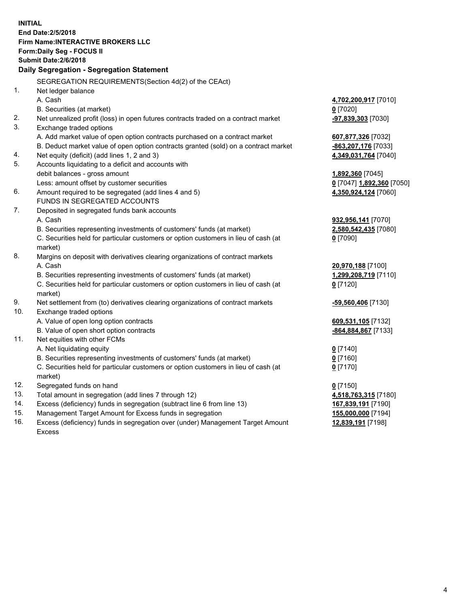**INITIAL End Date:2/5/2018 Firm Name:INTERACTIVE BROKERS LLC Form:Daily Seg - FOCUS II Submit Date:2/6/2018 Daily Segregation - Segregation Statement** SEGREGATION REQUIREMENTS(Section 4d(2) of the CEAct) 1. Net ledger balance A. Cash **4,702,200,917** [7010] B. Securities (at market) **0** [7020] 2. Net unrealized profit (loss) in open futures contracts traded on a contract market **-97,839,303** [7030] 3. Exchange traded options A. Add market value of open option contracts purchased on a contract market **607,877,326** [7032] B. Deduct market value of open option contracts granted (sold) on a contract market **-863,207,176** [7033] 4. Net equity (deficit) (add lines 1, 2 and 3) **4,349,031,764** [7040] 5. Accounts liquidating to a deficit and accounts with debit balances - gross amount **1,892,360** [7045] Less: amount offset by customer securities **0** [7047] **1,892,360** [7050] 6. Amount required to be segregated (add lines 4 and 5) **4,350,924,124** [7060] FUNDS IN SEGREGATED ACCOUNTS 7. Deposited in segregated funds bank accounts A. Cash **932,956,141** [7070] B. Securities representing investments of customers' funds (at market) **2,580,542,435** [7080] C. Securities held for particular customers or option customers in lieu of cash (at market) **0** [7090] 8. Margins on deposit with derivatives clearing organizations of contract markets A. Cash **20,970,188** [7100] B. Securities representing investments of customers' funds (at market) **1,299,208,719** [7110] C. Securities held for particular customers or option customers in lieu of cash (at market) **0** [7120] 9. Net settlement from (to) derivatives clearing organizations of contract markets **-59,560,406** [7130] 10. Exchange traded options A. Value of open long option contracts **609,531,105** [7132] B. Value of open short option contracts **-864,884,867** [7133] 11. Net equities with other FCMs A. Net liquidating equity **0** [7140] B. Securities representing investments of customers' funds (at market) **0** [7160] C. Securities held for particular customers or option customers in lieu of cash (at market) **0** [7170] 12. Segregated funds on hand **0** [7150] 13. Total amount in segregation (add lines 7 through 12) **4,518,763,315** [7180] 14. Excess (deficiency) funds in segregation (subtract line 6 from line 13) **167,839,191** [7190] 15. Management Target Amount for Excess funds in segregation **155,000,000** [7194] **12,839,191** [7198]

16. Excess (deficiency) funds in segregation over (under) Management Target Amount Excess